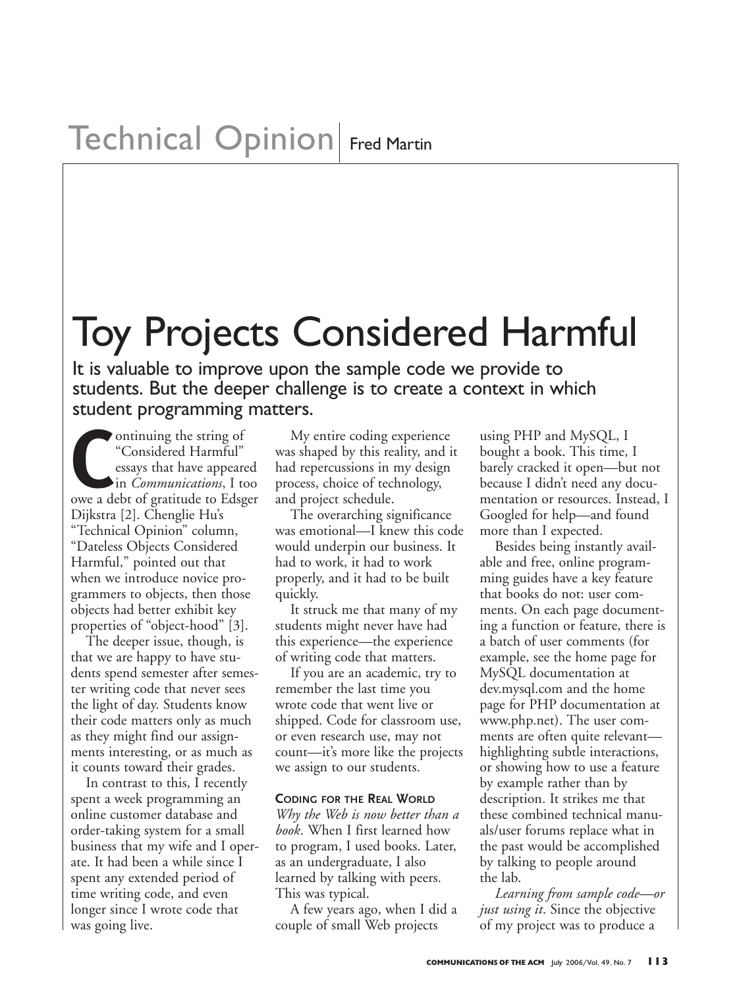# Toy Projects Considered Harmful

It is valuable to improve upon the sample code we provide to students. But the deeper challenge is to create a context in which

student programming matters.<br>
<sup>ontinuing the string of My<br>
<sup>"</sup>Considered Harmful" was shares<br>
essays that have appeared had rep<br>
in *Communications*, I too process</sup> ontinuing the string of "Considered Harmful" essays that have appeared in *Communications*, I too owe a debt of gratitude to Edsger Dijkstra [2]. Chenglie Hu's "Technical Opinion" column, "Dateless Objects Considered Harmful," pointed out that when we introduce novice programmers to objects, then those objects had better exhibit key properties of "object-hood" [3].

The deeper issue, though, is that we are happy to have students spend semester after semester writing code that never sees the light of day. Students know their code matters only as much as they might find our assignments interesting, or as much as it counts toward their grades.

In contrast to this, I recently spent a week programming an online customer database and order-taking system for a small business that my wife and I operate. It had been a while since I spent any extended period of time writing code, and even longer since I wrote code that was going live.

My entire coding experience was shaped by this reality, and it had repercussions in my design process, choice of technology, and project schedule.

The overarching significance was emotional—I knew this code would underpin our business. It had to work, it had to work properly, and it had to be built quickly.

It struck me that many of my students might never have had this experience—the experience of writing code that matters.

If you are an academic, try to remember the last time you wrote code that went live or shipped. Code for classroom use, or even research use, may not count—it's more like the projects we assign to our students.

### **CODING FOR THE REAL WORLD**

*Why the Web is now better than a book*. When I first learned how to program, I used books. Later, as an undergraduate, I also learned by talking with peers. This was typical.

A few years ago, when I did a couple of small Web projects

using PHP and MySQL, I bought a book. This time, I barely cracked it open—but not because I didn't need any documentation or resources. Instead, I Googled for help—and found more than I expected.

Besides being instantly available and free, online programming guides have a key feature that books do not: user comments. On each page documenting a function or feature, there is a batch of user comments (for example, see the home page for MySQL documentation at dev.mysql.com and the home page for PHP documentation at www.php.net). The user comments are often quite relevant highlighting subtle interactions, or showing how to use a feature by example rather than by description. It strikes me that these combined technical manuals/user forums replace what in the past would be accomplished by talking to people around the lab.

*Learning from sample code—or just using it*. Since the objective of my project was to produce a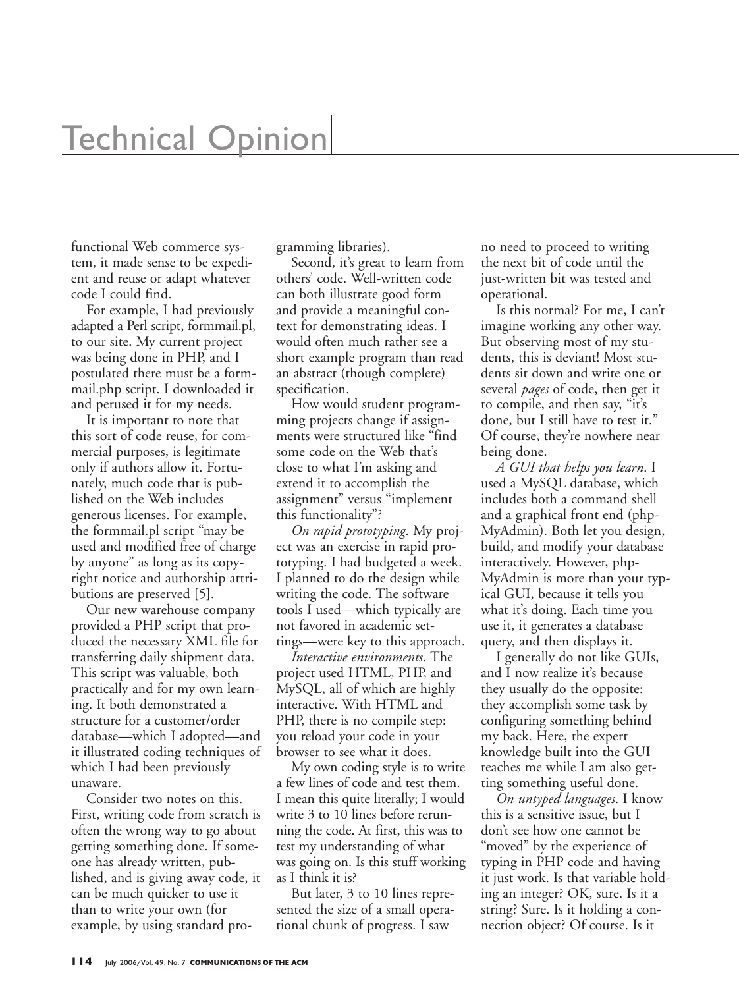## **Technical Opinion**

functional Web commerce system, it made sense to be expedient and reuse or adapt whatever code I could find.

For example, I had previously adapted a Perl script, formmail.pl, to our site. My current project was being done in PHP, and I postulated there must be a formmail.php script. I downloaded it and perused it for my needs.

It is important to note that this sort of code reuse, for commercial purposes, is legitimate only if authors allow it. Fortunately, much code that is published on the Web includes generous licenses. For example, the formmail.pl script "may be used and modified free of charge by anyone" as long as its copyright notice and authorship attributions are preserved [5].

Our new warehouse company provided a PHP script that produced the necessary XML file for transferring daily shipment data. This script was valuable, both practically and for my own learning. It both demonstrated a structure for a customer/order database—which I adopted—and it illustrated coding techniques of which I had been previously unaware.

Consider two notes on this. First, writing code from scratch is often the wrong way to go about getting something done. If someone has already written, published, and is giving away code, it can be much quicker to use it than to write your own (for example, by using standard programming libraries).

Second, it's great to learn from others' code. Well-written code can both illustrate good form and provide a meaningful context for demonstrating ideas. I would often much rather see a short example program than read an abstract (though complete) specification.

How would student programming projects change if assignments were structured like "find some code on the Web that's close to what I'm asking and extend it to accomplish the assignment" versus "implement this functionality"?

*On rapid prototyping*. My project was an exercise in rapid prototyping. I had budgeted a week. I planned to do the design while writing the code. The software tools I used—which typically are not favored in academic settings—were key to this approach.

*Interactive environments*. The project used HTML, PHP, and MySQL, all of which are highly interactive. With HTML and PHP, there is no compile step: you reload your code in your browser to see what it does.

My own coding style is to write a few lines of code and test them. I mean this quite literally; I would write 3 to 10 lines before rerunning the code. At first, this was to test my understanding of what was going on. Is this stuff working as I think it is?

But later, 3 to 10 lines represented the size of a small operational chunk of progress. I saw

no need to proceed to writing the next bit of code until the just-written bit was tested and operational.

Is this normal? For me, I can't imagine working any other way. But observing most of my students, this is deviant! Most students sit down and write one or several *pages* of code, then get it to compile, and then say, "it's done, but I still have to test it." Of course, they're nowhere near being done.

*A GUI that helps you learn*. I used a MySQL database, which includes both a command shell and a graphical front end (php-MyAdmin). Both let you design, build, and modify your database interactively. However, php-MyAdmin is more than your typical GUI, because it tells you what it's doing. Each time you use it, it generates a database query, and then displays it.

I generally do not like GUIs, and I now realize it's because they usually do the opposite: they accomplish some task by configuring something behind my back. Here, the expert knowledge built into the GUI teaches me while I am also getting something useful done.

*On untyped languages*. I know this is a sensitive issue, but I don't see how one cannot be "moved" by the experience of typing in PHP code and having it just work. Is that variable holding an integer? OK, sure. Is it a string? Sure. Is it holding a connection object? Of course. Is it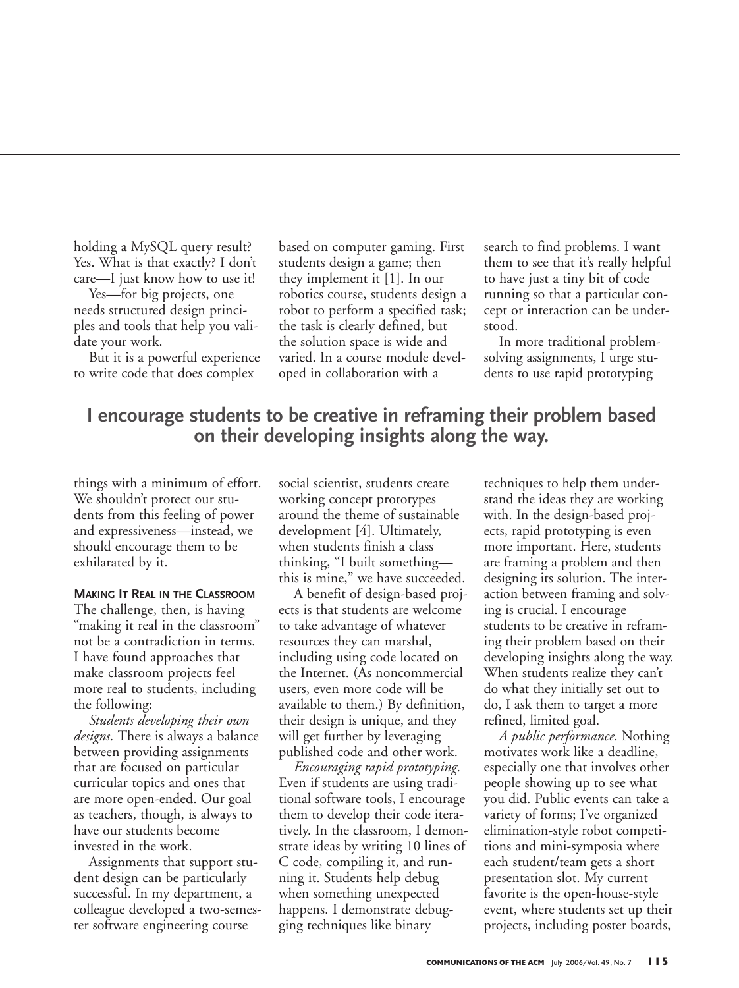holding a MySQL query result? Yes. What is that exactly? I don't care—I just know how to use it!

Yes—for big projects, one needs structured design principles and tools that help you validate your work.

But it is a powerful experience to write code that does complex

based on computer gaming. First students design a game; then they implement it [1]. In our robotics course, students design a robot to perform a specified task; the task is clearly defined, but the solution space is wide and varied. In a course module developed in collaboration with a

search to find problems. I want them to see that it's really helpful to have just a tiny bit of code running so that a particular concept or interaction can be understood.

In more traditional problemsolving assignments, I urge students to use rapid prototyping

## **I encourage students to be creative in reframing their problem based on their developing insights along the way.**

things with a minimum of effort. We shouldn't protect our students from this feeling of power and expressiveness—instead, we should encourage them to be exhilarated by it.

### **MAKING IT REAL IN THE CLASSROOM**

The challenge, then, is having "making it real in the classroom" not be a contradiction in terms. I have found approaches that make classroom projects feel more real to students, including the following:

*Students developing their own designs*. There is always a balance between providing assignments that are focused on particular curricular topics and ones that are more open-ended. Our goal as teachers, though, is always to have our students become invested in the work.

Assignments that support student design can be particularly successful. In my department, a colleague developed a two-semester software engineering course

social scientist, students create working concept prototypes around the theme of sustainable development [4]. Ultimately, when students finish a class thinking, "I built something this is mine," we have succeeded.

A benefit of design-based projects is that students are welcome to take advantage of whatever resources they can marshal, including using code located on the Internet. (As noncommercial users, even more code will be available to them.) By definition, their design is unique, and they will get further by leveraging published code and other work.

*Encouraging rapid prototyping*. Even if students are using traditional software tools, I encourage them to develop their code iteratively. In the classroom, I demonstrate ideas by writing 10 lines of C code, compiling it, and running it. Students help debug when something unexpected happens. I demonstrate debugging techniques like binary

techniques to help them understand the ideas they are working with. In the design-based projects, rapid prototyping is even more important. Here, students are framing a problem and then designing its solution. The interaction between framing and solving is crucial. I encourage students to be creative in reframing their problem based on their developing insights along the way. When students realize they can't do what they initially set out to do, I ask them to target a more refined, limited goal.

*A public performance*. Nothing motivates work like a deadline, especially one that involves other people showing up to see what you did. Public events can take a variety of forms; I've organized elimination-style robot competitions and mini-symposia where each student/team gets a short presentation slot. My current favorite is the open-house-style event, where students set up their projects, including poster boards,